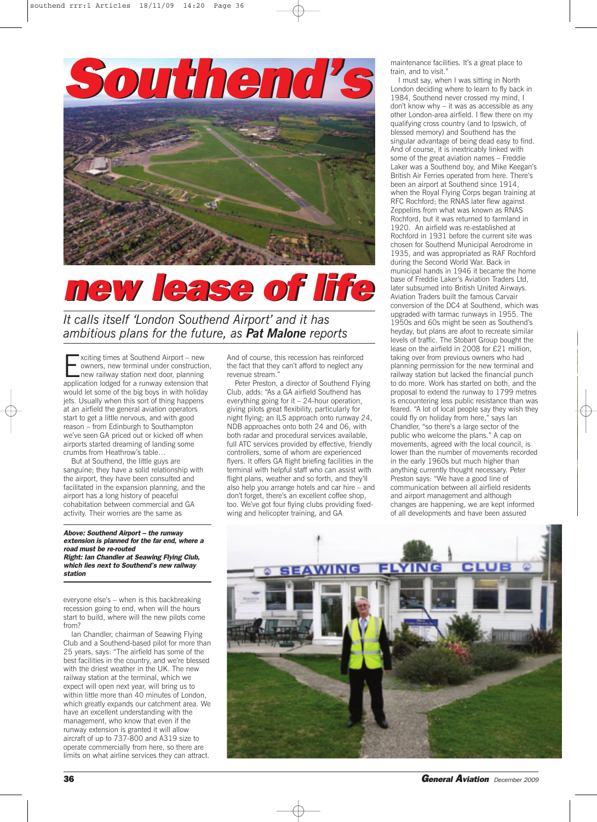

## *new lease of life*

*It calls itself 'London Southend Airport' and it has ambitious plans for the future, as Pat Malone reports*

Exciting times at Southend Airport – new<br>
owners, new terminal under construction<br>
next door, planning<br>
application lodged for a runway extension that owners, new terminal under construction, application lodged for a runway extension that would let some of the big boys in with holiday jets. Usually when this sort of thing happens at an airfield the general aviation operators start to get a little nervous, and with good reason – from Edinburgh to Southampton we've seen GA priced out or kicked off when airports started dreaming of landing some crumbs from Heathrow's table…

But at Southend, the little guys are sanguine; they have a solid relationship with the airport, they have been consulted and facilitated in the expansion planning, and the airport has a long history of peaceful cohabitation between commercial and GA activity. Their worries are the same as

*Above: Southend Airport – the runway extension is planned for the far end, where a road must be re-routed Right: Ian Chandler at Seawing Flying Club, which lies next to Southend's new railway station*

everyone else's – when is this backbreaking recession going to end, when will the hours start to build, where will the new pilots come from?

Ian Chandler, chairman of Seawing Flying Club and a Southend-based pilot for more than 25 years, says: "The airfield has some of the best facilities in the country, and we're blessed with the driest weather in the UK. The new railway station at the terminal, which we expect will open next year, will bring us to within little more than 40 minutes of London, which greatly expands our catchment area. We have an excellent understanding with the management, who know that even if the runway extension is granted it will allow aircraft of up to 737-800 and A319 size to operate commercially from here, so there are limits on what airline services they can attract.

And of course, this recession has reinforced the fact that they can't afford to neglect any revenue stream.

Peter Preston, a director of Southend Flying Club, adds: "As a GA airfield Southend has everything going for it – 24-hour operation, giving pilots great flexibility, particularly for night flying; an ILS approach onto runway 24, NDB approaches onto both 24 and 06, with both radar and procedural services available, full ATC services provided by effective, friendly controllers, some of whom are experienced flyers. It offers GA flight briefing facilities in the terminal with helpful staff who can assist with flight plans, weather and so forth, and they'll also help you arrange hotels and car hire – and don't forget, there's an excellent coffee shop, too. We've got four flying clubs providing fixedwing and helicopter training, and GA

maintenance facilities. It's a great place to train, and to visit."

I must say, when I was sitting in North London deciding where to learn to fly back in 1984, Southend never crossed my mind, I don't know why – it was as accessible as any other London-area airfield. I flew there on my qualifying cross country (and to Ipswich, of blessed memory) and Southend has the singular advantage of being dead easy to find. And of course, it is inextricably linked with some of the great aviation names – Freddie Laker was a Southend boy, and Mike Keegan's British Air Ferries operated from here. There's been an airport at Southend since 1914, when the Royal Flying Corps began training at RFC Rochford; the RNAS later flew against Zeppelins from what was known as RNAS Rochford, but it was returned to farmland in 1920. An airfield was re-established at Rochford in 1931 before the current site was chosen for Southend Municipal Aerodrome in 1935, and was appropriated as RAF Rochford during the Second World War. Back in municipal hands in 1946 it became the home base of Freddie Laker's Aviation Traders Ltd, later subsumed into British United Airways. Aviation Traders built the famous Carvair conversion of the DC4 at Southend, which was upgraded with tarmac runways in 1955. The 1950s and 60s might be seen as Southend's heyday, but plans are afoot to recreate similar levels of traffic. The Stobart Group bought the lease on the airfield in 2008 for £21 million, taking over from previous owners who had planning permission for the new terminal and railway station but lacked the financial punch to do more. Work has started on both, and the proposal to extend the runway to 1799 metres is encountering less public resistance than was feared. "A lot of local people say they wish they could fly on holiday from here," says Ian Chandler, "so there's a large sector of the public who welcome the plans." A cap on movements, agreed with the local council, is lower than the number of movements recorded in the early 1960s but much higher than anything currently thought necessary. Peter Preston says: "We have a good line of communication between all airfield residents and airport management and although changes are happening, we are kept informed of all developments and have been assured



**36** *General Aviation December <sup>2009</sup>*